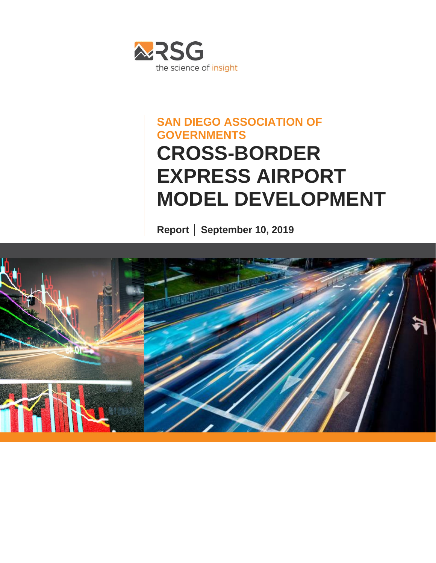

# **SAN DIEGO ASSOCIATION OF GOVERNMENTS CROSS-BORDER EXPRESS AIRPORT MODEL DEVELOPMENT**

**Report │ September 10, 2019**

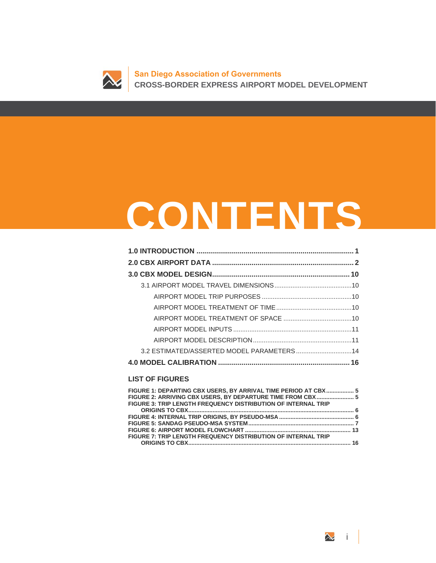

**San Diego Association of Governments CROSS-BORDER EXPRESS AIRPORT MODEL DEVELOPMENT**

# **CONTENTS**

| 3.2 ESTIMATED/ASSERTED MODEL PARAMETERS 14 |  |
|--------------------------------------------|--|
|                                            |  |

#### **LIST OF FIGURES**

| FIGURE 1: DEPARTING CBX USERS, BY ARRIVAL TIME PERIOD AT CBX 5       |  |
|----------------------------------------------------------------------|--|
| FIGURE 2: ARRIVING CBX USERS, BY DEPARTURE TIME FROM CBX 5           |  |
| FIGURE 3: TRIP LENGTH FREQUENCY DISTRIBUTION OF INTERNAL TRIP        |  |
|                                                                      |  |
|                                                                      |  |
|                                                                      |  |
|                                                                      |  |
| <b>FIGURE 7: TRIP LENGTH FREQUENCY DISTRIBUTION OF INTERNAL TRIP</b> |  |
|                                                                      |  |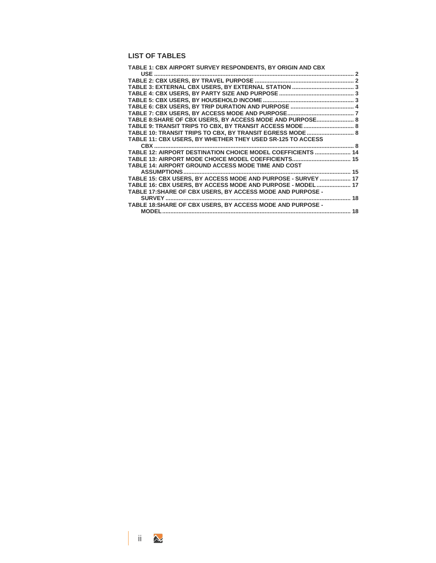## **LIST OF TABLES**

| TABLE 1: CBX AIRPORT SURVEY RESPONDENTS, BY ORIGIN AND CBX   |  |
|--------------------------------------------------------------|--|
| USE<br>                                                      |  |
|                                                              |  |
|                                                              |  |
|                                                              |  |
|                                                              |  |
|                                                              |  |
|                                                              |  |
| TABLE 8:SHARE OF CBX USERS, BY ACCESS MODE AND PURPOSE 8     |  |
| TABLE 9: TRANSIT TRIPS TO CBX, BY TRANSIT ACCESS MODE 8      |  |
| TABLE 10: TRANSIT TRIPS TO CBX, BY TRANSIT EGRESS MODE  8    |  |
| TABLE 11: CBX USERS. BY WHETHER THEY USED SR-125 TO ACCESS   |  |
| CBX                                                          |  |
| TABLE 12: AIRPORT DESTINATION CHOICE MODEL COEFFICIENTS  14  |  |
| TABLE 13: AIRPORT MODE CHOICE MODEL COEFFICIENTS 15          |  |
| TABLE 14: AIRPORT GROUND ACCESS MODE TIME AND COST           |  |
|                                                              |  |
| TABLE 15: CBX USERS. BY ACCESS MODE AND PURPOSE - SURVEY  17 |  |
| TABLE 16: CBX USERS, BY ACCESS MODE AND PURPOSE - MODEL 17   |  |
| TABLE 17:SHARE OF CBX USERS, BY ACCESS MODE AND PURPOSE -    |  |
| <b>SURVEY</b>                                                |  |
| TABLE 18: SHARE OF CBX USERS, BY ACCESS MODE AND PURPOSE -   |  |
|                                                              |  |
|                                                              |  |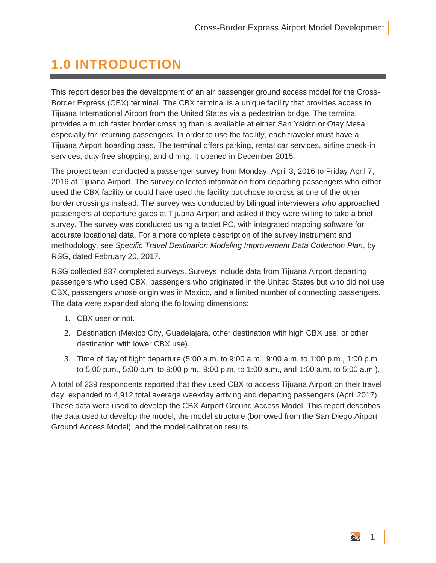# <span id="page-4-0"></span>**1.0 INTRODUCTION**

This report describes the development of an air passenger ground access model for the Cross-Border Express (CBX) terminal. The CBX terminal is a unique facility that provides access to Tijuana International Airport from the United States via a pedestrian bridge. The terminal provides a much faster border crossing than is available at either San Ysidro or Otay Mesa, especially for returning passengers. In order to use the facility, each traveler must have a Tijuana Airport boarding pass. The terminal offers parking, rental car services, airline check-in services, duty-free shopping, and dining. It opened in December 2015.

The project team conducted a passenger survey from Monday, April 3, 2016 to Friday April 7, 2016 at Tijuana Airport. The survey collected information from departing passengers who either used the CBX facility or could have used the facility but chose to cross at one of the other border crossings instead. The survey was conducted by bilingual interviewers who approached passengers at departure gates at Tijuana Airport and asked if they were willing to take a brief survey. The survey was conducted using a tablet PC, with integrated mapping software for accurate locational data. For a more complete description of the survey instrument and methodology, see *Specific Travel Destination Modeling Improvement Data Collection Plan*, by RSG, dated February 20, 2017.

RSG collected 837 completed surveys. Surveys include data from Tijuana Airport departing passengers who used CBX, passengers who originated in the United States but who did not use CBX, passengers whose origin was in Mexico, and a limited number of connecting passengers. The data were expanded along the following dimensions:

- 1. CBX user or not.
- 2. Destination (Mexico City, Guadelajara, other destination with high CBX use, or other destination with lower CBX use).
- 3. Time of day of flight departure (5:00 a.m. to 9:00 a.m., 9:00 a.m. to 1:00 p.m., 1:00 p.m. to 5:00 p.m., 5:00 p.m. to 9:00 p.m., 9:00 p.m. to 1:00 a.m., and 1:00 a.m. to 5:00 a.m.).

A total of 239 respondents reported that they used CBX to access Tijuana Airport on their travel day, expanded to 4,912 total average weekday arriving and departing passengers (April 2017). These data were used to develop the CBX Airport Ground Access Model. This report describes the data used to develop the model, the model structure (borrowed from the San Diego Airport Ground Access Model), and the model calibration results.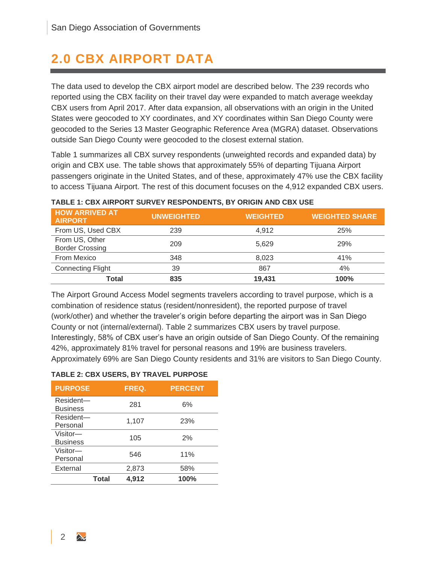# <span id="page-5-0"></span>**2.0 CBX AIRPORT DATA**

The data used to develop the CBX airport model are described below. The 239 records who reported using the CBX facility on their travel day were expanded to match average weekday CBX users from April 2017. After data expansion, all observations with an origin in the United States were geocoded to XY coordinates, and XY coordinates within San Diego County were geocoded to the Series 13 Master Geographic Reference Area (MGRA) dataset. Observations outside San Diego County were geocoded to the closest external station.

[Table 1](#page-5-1) summarizes all CBX survey respondents (unweighted records and expanded data) by origin and CBX use. The table shows that approximately 55% of departing Tijuana Airport passengers originate in the United States, and of these, approximately 47% use the CBX facility to access Tijuana Airport. The rest of this document focuses on the 4,912 expanded CBX users.

| <b>HOW ARRIVED AT</b><br><b>AIRPORT</b>  | <b>UNWEIGHTED</b> | <b>WEIGHTED</b> | <b>WEIGHTED SHARE</b> |
|------------------------------------------|-------------------|-----------------|-----------------------|
| From US, Used CBX                        | 239               | 4.912           | 25%                   |
| From US, Other<br><b>Border Crossing</b> | 209               | 5,629           | 29%                   |
| From Mexico                              | 348               | 8.023           | 41%                   |
| <b>Connecting Flight</b>                 | 39                | 867             | 4%                    |
| Total                                    | 835               | 19,431          | 100%                  |

## <span id="page-5-1"></span>**TABLE 1: CBX AIRPORT SURVEY RESPONDENTS, BY ORIGIN AND CBX USE**

The Airport Ground Access Model segments travelers according to travel purpose, which is a combination of residence status (resident/nonresident), the reported purpose of travel (work/other) and whether the traveler's origin before departing the airport was in San Diego County or not (internal/external). [Table 2](#page-5-2) summarizes CBX users by travel purpose. Interestingly, 58% of CBX user's have an origin outside of San Diego County. Of the remaining 42%, approximately 81% travel for personal reasons and 19% are business travelers. Approximately 69% are San Diego County residents and 31% are visitors to San Diego County.

| <b>PURPOSE</b>               | FREQ. | <b>PERCENT</b> |
|------------------------------|-------|----------------|
| Resident-<br><b>Business</b> | 281   | 6%             |
| Resident-<br>Personal        | 1,107 | 23%            |
| Visitor-<br><b>Business</b>  | 105   | 2%             |
| Visitor-<br>Personal         | 546   | 11%            |
| External                     | 2,873 | 58%            |
| Total                        | 4,912 | 100%           |

## <span id="page-5-2"></span>**TABLE 2: CBX USERS, BY TRAVEL PURPOSE**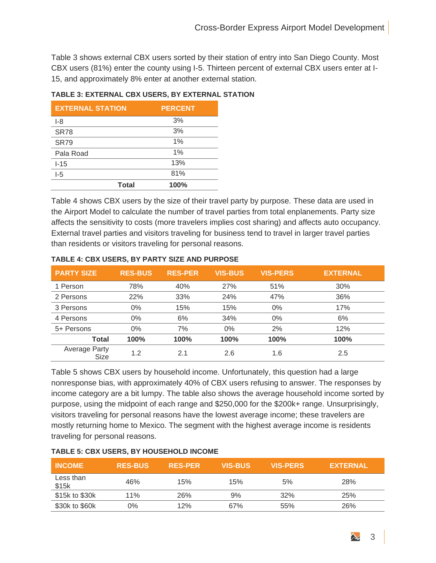[Table 3](#page-6-0) shows external CBX users sorted by their station of entry into San Diego County. Most CBX users (81%) enter the county using I-5. Thirteen percent of external CBX users enter at I-15, and approximately 8% enter at another external station.

| <b>EXTERNAL STATION</b> |              | <b>PERCENT</b> |
|-------------------------|--------------|----------------|
| $I-8$                   |              | 3%             |
| <b>SR78</b>             |              | 3%             |
| <b>SR79</b>             |              | 1%             |
| Pala Road               |              | 1%             |
| $I-15$                  |              | 13%            |
| $I-5$                   |              | 81%            |
|                         | <b>Total</b> | 100%           |

## <span id="page-6-0"></span>**TABLE 3: EXTERNAL CBX USERS, BY EXTERNAL STATION**

[Table 4](#page-6-1) shows CBX users by the size of their travel party by purpose. These data are used in the Airport Model to calculate the number of travel parties from total enplanements. Party size affects the sensitivity to costs (more travelers implies cost sharing) and affects auto occupancy. External travel parties and visitors traveling for business tend to travel in larger travel parties than residents or visitors traveling for personal reasons.

| <b>PARTY SIZE</b>                   | <b>RES-BUS</b> | <b>RES-PER</b> | <b>VIS-BUS</b> | <b>VIS-PERS</b> | <b>EXTERNAL</b> |
|-------------------------------------|----------------|----------------|----------------|-----------------|-----------------|
| 1 Person                            | 78%            | 40%            | 27%            | 51%             | 30%             |
| 2 Persons                           | 22%            | 33%            | 24%            | 47%             | 36%             |
| 3 Persons                           | 0%             | 15%            | 15%            | $0\%$           | 17%             |
| 4 Persons                           | 0%             | 6%             | 34%            | 0%              | 6%              |
| 5+ Persons                          | 0%             | 7%             | 0%             | 2%              | 12%             |
| Total                               | 100%           | 100%           | 100%           | 100%            | 100%            |
| <b>Average Party</b><br><b>Size</b> | 1.2            | 2.1            | 2.6            | 1.6             | 2.5             |

## <span id="page-6-1"></span>**TABLE 4: CBX USERS, BY PARTY SIZE AND PURPOSE**

[Table 5](#page-6-2) shows CBX users by household income. Unfortunately, this question had a large nonresponse bias, with approximately 40% of CBX users refusing to answer. The responses by income category are a bit lumpy. The table also shows the average household income sorted by purpose, using the midpoint of each range and \$250,000 for the \$200k+ range. Unsurprisingly, visitors traveling for personal reasons have the lowest average income; these travelers are mostly returning home to Mexico. The segment with the highest average income is residents traveling for personal reasons.

| <b>INCOME</b>      | <b>RES-BUS</b> | <b>RES-PER</b> | <b>VIS-BUS</b> | <b>VIS-PERS</b> | <b>EXTERNAL</b> |
|--------------------|----------------|----------------|----------------|-----------------|-----------------|
| Less than<br>\$15k | 46%            | 15%            | 15%            | 5%              | 28%             |
| \$15k to \$30k     | 11%            | 26%            | 9%             | 32%             | 25%             |
| \$30k to \$60k     | 0%             | 12%            | 67%            | 55%             | 26%             |

### <span id="page-6-2"></span>**TABLE 5: CBX USERS, BY HOUSEHOLD INCOME**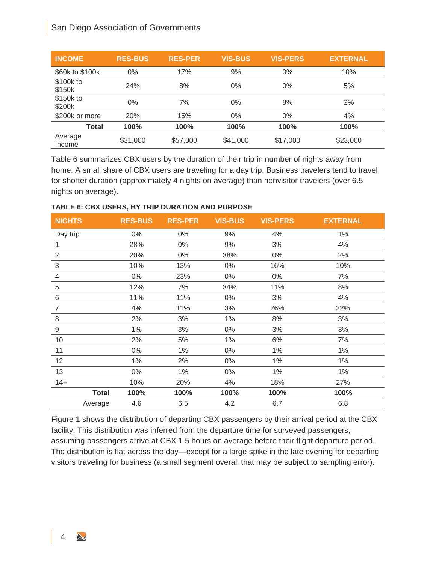## San Diego Association of Governments

| <b>INCOME</b>       | <b>RES-BUS</b> | <b>RES-PER</b> | <b>VIS-BUS</b> | <b>VIS-PERS</b> | <b>EXTERNAL</b> |
|---------------------|----------------|----------------|----------------|-----------------|-----------------|
| \$60k to \$100k     | $0\%$          | 17%            | 9%             | 0%              | 10%             |
| \$100k to<br>\$150k | 24%            | 8%             | 0%             | 0%              | 5%              |
| \$150k to<br>\$200k | 0%             | 7%             | 0%             | 8%              | 2%              |
| \$200k or more      | 20%            | 15%            | 0%             | 0%              | 4%              |
| Total               | 100%           | 100%           | 100%           | 100%            | 100%            |
| Average<br>Income   | \$31,000       | \$57,000       | \$41,000       | \$17,000        | \$23,000        |

[Table 6](#page-7-0) summarizes CBX users by the duration of their trip in number of nights away from home. A small share of CBX users are traveling for a day trip. Business travelers tend to travel for shorter duration (approximately 4 nights on average) than nonvisitor travelers (over 6.5 nights on average).

| <b>NIGHTS</b>    | <b>RES-BUS</b> | <b>RES-PER</b> | <b>VIS-BUS</b> | <b>VIS-PERS</b> | <b>EXTERNAL</b> |
|------------------|----------------|----------------|----------------|-----------------|-----------------|
| Day trip         | 0%             | 0%             | 9%             | 4%              | 1%              |
|                  | 28%            | 0%             | 9%             | 3%              | 4%              |
| $\mathbf 2$      | 20%            | 0%             | 38%            | 0%              | 2%              |
| 3                | 10%            | 13%            | 0%             | 16%             | 10%             |
| 4                | 0%             | 23%            | 0%             | 0%              | 7%              |
| $\mathbf 5$      | 12%            | 7%             | 34%            | 11%             | 8%              |
| $\,6$            | 11%            | 11%            | 0%             | 3%              | 4%              |
| $\overline{7}$   | 4%             | 11%            | 3%             | 26%             | 22%             |
| 8                | 2%             | 3%             | 1%             | 8%              | 3%              |
| $\boldsymbol{9}$ | 1%             | 3%             | 0%             | 3%              | 3%              |
| $10$             | 2%             | $5%$           | 1%             | 6%              | 7%              |
| 11               | $0\%$          | 1%             | 0%             | 1%              | $1\%$           |
| 12               | 1%             | 2%             | 0%             | 1%              | 1%              |
| 13               | 0%             | 1%             | 0%             | 1%              | 1%              |
| $14+$            | 10%            | 20%            | 4%             | 18%             | 27%             |
| <b>Total</b>     | 100%           | 100%           | 100%           | 100%            | 100%            |
| Average          | 4.6            | 6.5            | 4.2            | 6.7             | 6.8             |

## <span id="page-7-0"></span>**TABLE 6: CBX USERS, BY TRIP DURATION AND PURPOSE**

[Figure 1](#page-8-0) shows the distribution of departing CBX passengers by their arrival period at the CBX facility. This distribution was inferred from the departure time for surveyed passengers, assuming passengers arrive at CBX 1.5 hours on average before their flight departure period. The distribution is flat across the day—except for a large spike in the late evening for departing visitors traveling for business (a small segment overall that may be subject to sampling error).

4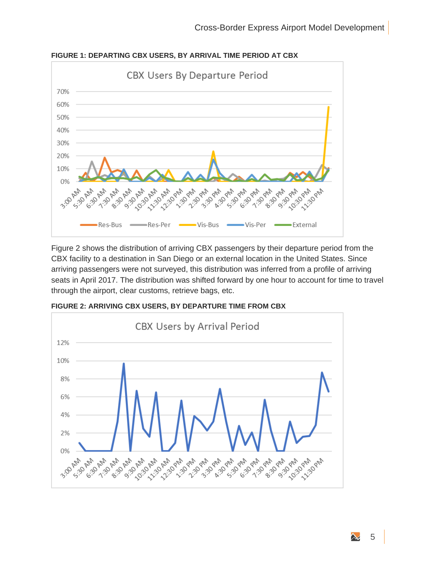

<span id="page-8-0"></span>**FIGURE 1: DEPARTING CBX USERS, BY ARRIVAL TIME PERIOD AT CBX**

[Figure 2](#page-8-1) shows the distribution of arriving CBX passengers by their departure period from the CBX facility to a destination in San Diego or an external location in the United States. Since arriving passengers were not surveyed, this distribution was inferred from a profile of arriving seats in April 2017. The distribution was shifted forward by one hour to account for time to travel through the airport, clear customs, retrieve bags, etc.

<span id="page-8-1"></span>

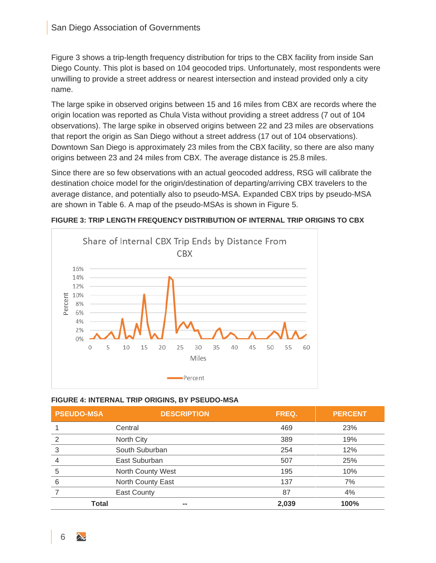[Figure 3](#page-9-0) shows a trip-length frequency distribution for trips to the CBX facility from inside San Diego County. This plot is based on 104 geocoded trips. Unfortunately, most respondents were unwilling to provide a street address or nearest intersection and instead provided only a city name.

The large spike in observed origins between 15 and 16 miles from CBX are records where the origin location was reported as Chula Vista without providing a street address (7 out of 104 observations). The large spike in observed origins between 22 and 23 miles are observations that report the origin as San Diego without a street address (17 out of 104 observations). Downtown San Diego is approximately 23 miles from the CBX facility, so there are also many origins between 23 and 24 miles from CBX. The average distance is 25.8 miles.

Since there are so few observations with an actual geocoded address, RSG will calibrate the destination choice model for the origin/destination of departing/arriving CBX travelers to the average distance, and potentially also to pseudo-MSA. Expanded CBX trips by pseudo-MSA are shown in [Table 6.](#page-7-0) A map of the pseudo-MSAs is shown in [Figure 5.](#page-10-0)



<span id="page-9-0"></span>**FIGURE 3: TRIP LENGTH FREQUENCY DISTRIBUTION OF INTERNAL TRIP ORIGINS TO CBX**

<span id="page-9-1"></span>

| <b>PSEUDO-MSA</b> | <b>DESCRIPTION</b>           | FREQ. | <b>PERCENT</b> |  |
|-------------------|------------------------------|-------|----------------|--|
|                   | Central                      | 469   | 23%            |  |
| 2                 | North City                   | 389   | 19%            |  |
| 3                 | South Suburban<br>254<br>12% |       |                |  |
| 4                 | East Suburban                | 507   | 25%            |  |
| 5                 | North County West            | 195   | 10%            |  |
| 6                 | North County East            | 137   | 7%             |  |
|                   | <b>East County</b>           | 87    | 4%             |  |
| <b>Total</b>      |                              | 2,039 | 100%           |  |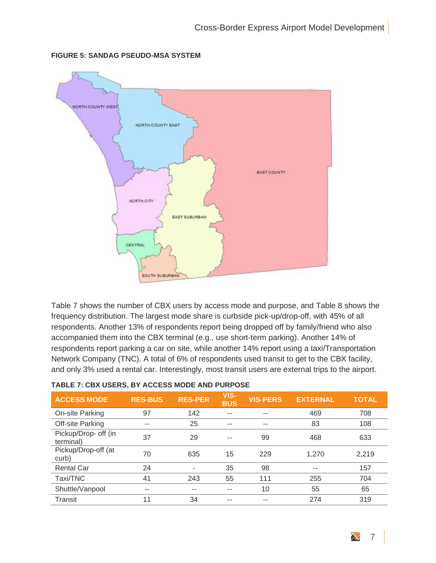

## <span id="page-10-0"></span>**FIGURE 5: SANDAG PSEUDO-MSA SYSTEM**

[Table 7](#page-10-1) shows the number of CBX users by access mode and purpose, and [Table](#page-11-0) 8 shows the frequency distribution. The largest mode share is curbside pick-up/drop-off, with 45% of all respondents. Another 13% of respondents report being dropped off by family/friend who also accompanied them into the CBX terminal (e.g., use short-term parking). Another 14% of respondents report parking a car on site, while another 14% report using a taxi/Transportation Network Company (TNC). A total of 6% of respondents used transit to get to the CBX facility, and only 3% used a rental car. Interestingly, most transit users are external trips to the airport.

| <b>ACCESS MODE</b>                | <b>RES-BUS</b> | <b>RES-PER</b> | VIS-<br><b>BUS</b> | <b>VIS-PERS</b> | <b>EXTERNAL</b> | <b>TOTAL</b> |
|-----------------------------------|----------------|----------------|--------------------|-----------------|-----------------|--------------|
| On-site Parking                   | 97             | 142            | --                 | --              | 469             | 708          |
| Off-site Parking                  | --             | 25             | --                 | --              | 83              | 108          |
| Pickup/Drop- off (in<br>terminal) | 37             | 29             | $- -$              | 99              | 468             | 633          |
| Pickup/Drop-off (at<br>curb)      | 70             | 635            | 15                 | 229             | 1.270           | 2,219        |
| <b>Rental Car</b>                 | 24             | ۰              | 35                 | 98              | $ -$            | 157          |
| Taxi/TNC                          | 41             | 243            | 55                 | 111             | 255             | 704          |
| Shuttle/Vanpool                   | $\sim$ $-$     | --             | --                 | 10              | 55              | 65           |
| Transit                           | 11             | 34             | --                 | --              | 274             | 319          |

## <span id="page-10-1"></span>**TABLE 7: CBX USERS, BY ACCESS MODE AND PURPOSE**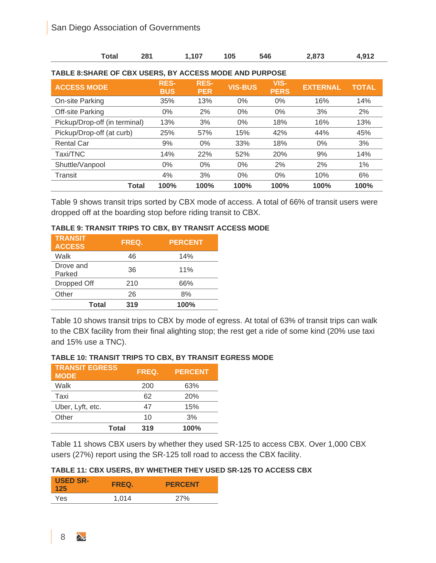<span id="page-11-0"></span>

| Total<br>281                                            |                           | 1,107                     | 105            | 546                 | 2,873           | 4,912        |  |  |
|---------------------------------------------------------|---------------------------|---------------------------|----------------|---------------------|-----------------|--------------|--|--|
| TABLE 8: SHARE OF CBX USERS, BY ACCESS MODE AND PURPOSE |                           |                           |                |                     |                 |              |  |  |
| <b>ACCESS MODE</b>                                      | <b>RES-</b><br><b>BUS</b> | <b>RES-</b><br><b>PER</b> | <b>VIS-BUS</b> | VIS-<br><b>PERS</b> | <b>EXTERNAL</b> | <b>TOTAL</b> |  |  |
| On-site Parking                                         | 35%                       | 13%                       | 0%             | $0\%$               | 16%             | 14%          |  |  |
| Off-site Parking                                        | $0\%$                     | 2%                        | $0\%$          | $0\%$               | 3%              | 2%           |  |  |
| Pickup/Drop-off (in terminal)                           | 13%                       | 3%                        | 0%             | 18%                 | 16%             | 13%          |  |  |
| Pickup/Drop-off (at curb)                               | 25%                       | 57%                       | 15%            | 42%                 | 44%             | 45%          |  |  |
| <b>Rental Car</b>                                       | 9%                        | 0%                        | 33%            | 18%                 | $0\%$           | 3%           |  |  |
| Taxi/TNC                                                | 14%                       | 22%                       | 52%            | 20%                 | 9%              | 14%          |  |  |
| Shuttle/Vanpool                                         | 0%                        | $0\%$                     | 0%             | 2%                  | 2%              | 1%           |  |  |
| Transit                                                 | 4%                        | 3%                        | 0%             | 0%                  | 10%             | 6%           |  |  |
| Total                                                   | 100%                      | 100%                      | 100%           | 100%                | 100%            | 100%         |  |  |

[Table 9](#page-11-1) shows transit trips sorted by CBX mode of access. A total of 66% of transit users were dropped off at the boarding stop before riding transit to CBX.

| <b>TRANSIT</b><br><b>ACCESS</b> | FREQ. | <b>PERCENT</b> |  |
|---------------------------------|-------|----------------|--|
| Walk                            | 46    | 14%            |  |
| Drove and<br>Parked             | 36    | 11%            |  |
| Dropped Off                     | 210   | 66%            |  |
| Other                           | 26    | 8%             |  |
| <b>Total</b>                    | 319   | 100%           |  |

## <span id="page-11-1"></span>**TABLE 9: TRANSIT TRIPS TO CBX, BY TRANSIT ACCESS MODE**

[Table 10](#page-11-2) shows transit trips to CBX by mode of egress. At total of 63% of transit trips can walk to the CBX facility from their final alighting stop; the rest get a ride of some kind (20% use taxi and 15% use a TNC).

## <span id="page-11-2"></span>**TABLE 10: TRANSIT TRIPS TO CBX, BY TRANSIT EGRESS MODE**

| <b>TRANSIT EGRESS</b><br><b>MODE</b> | FREQ. | <b>PERCENT</b> |
|--------------------------------------|-------|----------------|
| Walk                                 | 200   | 63%            |
| Taxi                                 | 62    | 20%            |
| Uber, Lyft, etc.                     | 47    | 15%            |
| Other                                | 10    | 3%             |
| Total                                | 319   | 100%           |

[Table 11](#page-11-3) shows CBX users by whether they used SR-125 to access CBX. Over 1,000 CBX users (27%) report using the SR-125 toll road to access the CBX facility.

## <span id="page-11-3"></span>**TABLE 11: CBX USERS, BY WHETHER THEY USED SR-125 TO ACCESS CBX**

| <b>USED SR-</b><br>125 | FREQ. | <b>PERCENT</b> |
|------------------------|-------|----------------|
| Yes.                   | 1.014 | 27%            |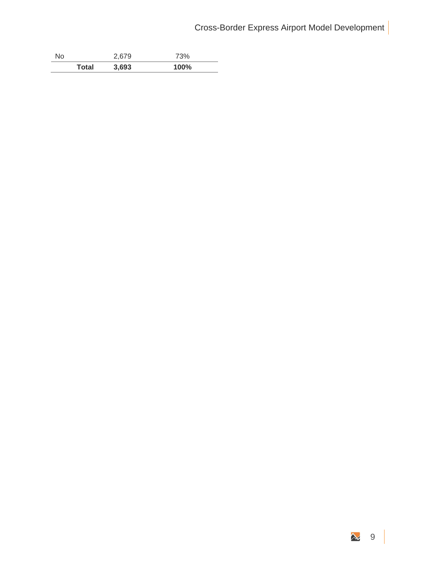## Cross-Border Express Airport Model Development

| No |       | 2,679 | 73%  |
|----|-------|-------|------|
|    | Total | 3,693 | 100% |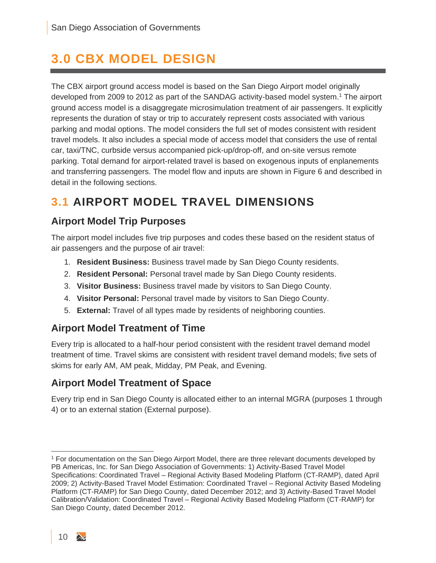# <span id="page-13-0"></span>**3.0 CBX MODEL DESIGN**

The CBX airport ground access model is based on the San Diego Airport model originally developed from 2009 to 2012 as part of the SANDAG activity-based model system. <sup>1</sup> The airport ground access model is a disaggregate microsimulation treatment of air passengers. It explicitly represents the duration of stay or trip to accurately represent costs associated with various parking and modal options. The model considers the full set of modes consistent with resident travel models. It also includes a special mode of access model that considers the use of rental car, taxi/TNC, curbside versus accompanied pick-up/drop-off, and on-site versus remote parking. Total demand for airport-related travel is based on exogenous inputs of enplanements and transferring passengers. The model flow and inputs are shown in [Figure 6](#page-16-0) and described in detail in the following sections.

# <span id="page-13-1"></span>**3.1 AIRPORT MODEL TRAVEL DIMENSIONS**

## <span id="page-13-2"></span>**Airport Model Trip Purposes**

The airport model includes five trip purposes and codes these based on the resident status of air passengers and the purpose of air travel:

- 1. **Resident Business:** Business travel made by San Diego County residents.
- 2. **Resident Personal:** Personal travel made by San Diego County residents.
- 3. **Visitor Business:** Business travel made by visitors to San Diego County.
- 4. **Visitor Personal:** Personal travel made by visitors to San Diego County.
- 5. **External:** Travel of all types made by residents of neighboring counties.

## <span id="page-13-3"></span>**Airport Model Treatment of Time**

Every trip is allocated to a half-hour period consistent with the resident travel demand model treatment of time. Travel skims are consistent with resident travel demand models; five sets of skims for early AM, AM peak, Midday, PM Peak, and Evening.

## <span id="page-13-4"></span>**Airport Model Treatment of Space**

Every trip end in San Diego County is allocated either to an internal MGRA (purposes 1 through 4) or to an external station (External purpose).

<sup>1</sup> For documentation on the San Diego Airport Model, there are three relevant documents developed by PB Americas, Inc. for San Diego Association of Governments: 1) Activity-Based Travel Model Specifications: Coordinated Travel – Regional Activity Based Modeling Platform (CT-RAMP), dated April 2009; 2) Activity-Based Travel Model Estimation: Coordinated Travel – Regional Activity Based Modeling Platform (CT-RAMP) for San Diego County, dated December 2012; and 3) Activity-Based Travel Model Calibration/Validation: Coordinated Travel – Regional Activity Based Modeling Platform (CT-RAMP) for San Diego County, dated December 2012.

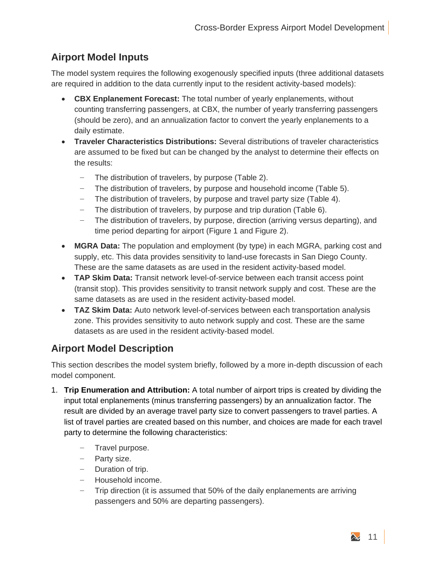## <span id="page-14-0"></span>**Airport Model Inputs**

The model system requires the following exogenously specified inputs (three additional datasets are required in addition to the data currently input to the resident activity-based models):

- **CBX Enplanement Forecast:** The total number of yearly enplanements, without counting transferring passengers, at CBX, the number of yearly transferring passengers (should be zero), and an annualization factor to convert the yearly enplanements to a daily estimate.
- **Traveler Characteristics Distributions:** Several distributions of traveler characteristics are assumed to be fixed but can be changed by the analyst to determine their effects on the results:
	- The distribution of travelers, by purpose [\(Table 2\)](#page-5-2).
	- The distribution of travelers, by purpose and household income [\(Table 5\)](#page-6-2).
	- The distribution of travelers, by purpose and travel party size [\(Table 4\)](#page-6-1).
	- The distribution of travelers, by purpose and trip duration [\(Table 6\)](#page-7-0).
	- − The distribution of travelers, by purpose, direction (arriving versus departing), and time period departing for airport [\(Figure 1](#page-8-0) and [Figure 2\)](#page-8-1).
- **MGRA Data:** The population and employment (by type) in each MGRA, parking cost and supply, etc. This data provides sensitivity to land-use forecasts in San Diego County. These are the same datasets as are used in the resident activity-based model.
- **TAP Skim Data:** Transit network level-of-service between each transit access point (transit stop). This provides sensitivity to transit network supply and cost. These are the same datasets as are used in the resident activity-based model.
- **TAZ Skim Data:** Auto network level-of-services between each transportation analysis zone. This provides sensitivity to auto network supply and cost. These are the same datasets as are used in the resident activity-based model.

## <span id="page-14-1"></span>**Airport Model Description**

This section describes the model system briefly, followed by a more in-depth discussion of each model component.

- 1. **Trip Enumeration and Attribution:** A total number of airport trips is created by dividing the input total enplanements (minus transferring passengers) by an annualization factor. The result are divided by an average travel party size to convert passengers to travel parties. A list of travel parties are created based on this number, and choices are made for each travel party to determine the following characteristics:
	- − Travel purpose.
	- − Party size.
	- Duration of trip.
	- − Household income.
	- Trip direction (it is assumed that 50% of the daily enplanements are arriving passengers and 50% are departing passengers).

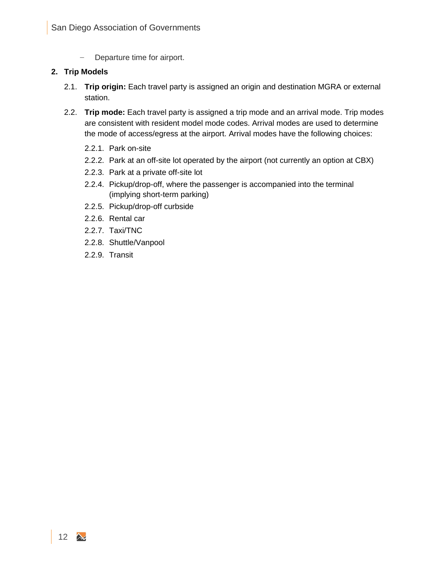− Departure time for airport.

## **2. Trip Models**

- 2.1. **Trip origin:** Each travel party is assigned an origin and destination MGRA or external station.
- 2.2. **Trip mode:** Each travel party is assigned a trip mode and an arrival mode. Trip modes are consistent with resident model mode codes. Arrival modes are used to determine the mode of access/egress at the airport. Arrival modes have the following choices:
	- 2.2.1. Park on-site
	- 2.2.2. Park at an off-site lot operated by the airport (not currently an option at CBX)
	- 2.2.3. Park at a private off-site lot
	- 2.2.4. Pickup/drop-off, where the passenger is accompanied into the terminal (implying short-term parking)
	- 2.2.5. Pickup/drop-off curbside
	- 2.2.6. Rental car
	- 2.2.7. Taxi/TNC
	- 2.2.8. Shuttle/Vanpool
	- 2.2.9. Transit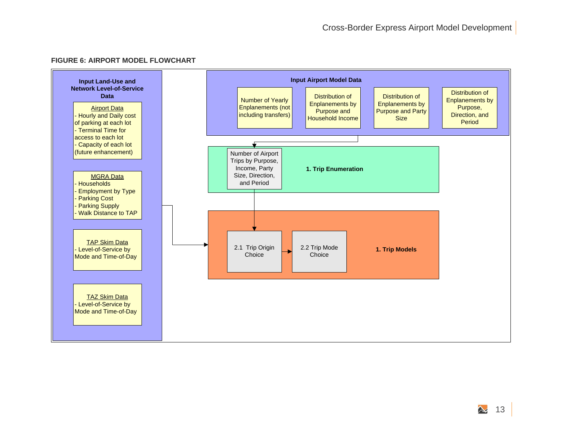#### **FIGURE 6: AIRPORT MODEL FLOWCHART**

<span id="page-16-0"></span>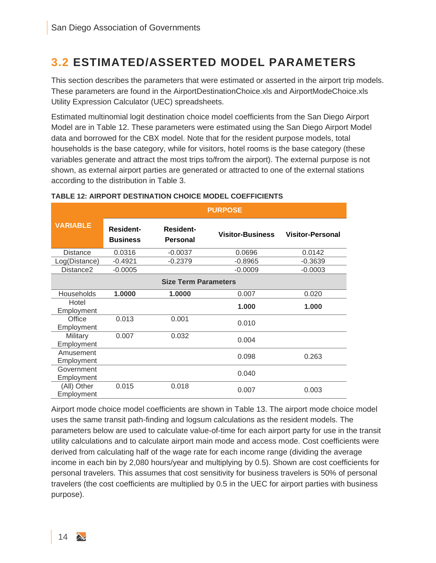# <span id="page-17-0"></span>**3.2 ESTIMATED/ASSERTED MODEL PARAMETERS**

This section describes the parameters that were estimated or asserted in the airport trip models. These parameters are found in the AirportDestinationChoice.xls and AirportModeChoice.xls Utility Expression Calculator (UEC) spreadsheets.

Estimated multinomial logit destination choice model coefficients from the San Diego Airport Model are in [Table 12.](#page-17-1) These parameters were estimated using the San Diego Airport Model data and borrowed for the CBX model. Note that for the resident purpose models, total households is the base category, while for visitors, hotel rooms is the base category (these variables generate and attract the most trips to/from the airport). The external purpose is not shown, as external airport parties are generated or attracted to one of the external stations according to the distribution in [Table 3.](#page-6-0)

|                           |                                     |                              | <b>PURPOSE</b>          |                         |
|---------------------------|-------------------------------------|------------------------------|-------------------------|-------------------------|
| <b>VARIABLE</b>           | <b>Resident-</b><br><b>Business</b> | <b>Resident-</b><br>Personal | <b>Visitor-Business</b> | <b>Visitor-Personal</b> |
| <b>Distance</b>           | 0.0316                              | $-0.0037$                    | 0.0696                  | 0.0142                  |
| Log(Distance)             | $-0.4921$                           | $-0.2379$                    | $-0.8965$               | $-0.3639$               |
| Distance <sub>2</sub>     | $-0.0005$                           |                              | $-0.0009$               | $-0.0003$               |
|                           |                                     | <b>Size Term Parameters</b>  |                         |                         |
| Households                | 1.0000                              | 1.0000                       | 0.007                   | 0.020                   |
| Hotel<br>Employment       |                                     |                              | 1.000                   | 1.000                   |
| Office<br>Employment      | 0.013                               | 0.001                        | 0.010                   |                         |
| Military<br>Employment    | 0.007                               | 0.032                        | 0.004                   |                         |
| Amusement<br>Employment   |                                     |                              | 0.098                   | 0.263                   |
| Government<br>Employment  |                                     |                              | 0.040                   |                         |
| (All) Other<br>Employment | 0.015                               | 0.018                        | 0.007                   | 0.003                   |

## <span id="page-17-1"></span>**TABLE 12: AIRPORT DESTINATION CHOICE MODEL COEFFICIENTS**

Airport mode choice model coefficients are shown in [Table 13.](#page-18-0) The airport mode choice model uses the same transit path-finding and logsum calculations as the resident models. The parameters below are used to calculate value-of-time for each airport party for use in the transit utility calculations and to calculate airport main mode and access mode. Cost coefficients were derived from calculating half of the wage rate for each income range (dividing the average income in each bin by 2,080 hours/year and multiplying by 0.5). Shown are cost coefficients for personal travelers. This assumes that cost sensitivity for business travelers is 50% of personal travelers (the cost coefficients are multiplied by 0.5 in the UEC for airport parties with business purpose).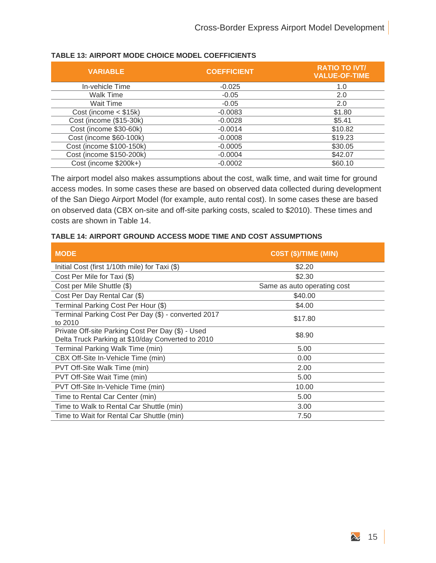| <b>VARIABLE</b>          | <b>COEFFICIENT</b> | <b>RATIO TO IVT/</b><br><b>VALUE-OF-TIME</b> |
|--------------------------|--------------------|----------------------------------------------|
| In-vehicle Time          | $-0.025$           | 1.0                                          |
| Walk Time                | $-0.05$            | 2.0                                          |
| Wait Time                | $-0.05$            | 2.0                                          |
| Cost (income $<$ \$15k)  | $-0.0083$          | \$1.80                                       |
| Cost (income (\$15-30k)  | $-0.0028$          | \$5.41                                       |
| Cost (income \$30-60k)   | $-0.0014$          | \$10.82                                      |
| Cost (income \$60-100k)  | $-0.0008$          | \$19.23                                      |
| Cost (income \$100-150k) | $-0.0005$          | \$30.05                                      |
| Cost (income \$150-200k) | $-0.0004$          | \$42.07                                      |
| Cost (income \$200k+)    | $-0.0002$          | \$60.10                                      |

## <span id="page-18-0"></span>**TABLE 13: AIRPORT MODE CHOICE MODEL COEFFICIENTS**

The airport model also makes assumptions about the cost, walk time, and wait time for ground access modes. In some cases these are based on observed data collected during development of the San Diego Airport Model (for example, auto rental cost). In some cases these are based on observed data (CBX on-site and off-site parking costs, scaled to \$2010). These times and costs are shown in [Table 14.](#page-18-1)

| <b>MODE</b>                                                                                            | <b>COST (\$)/TIME (MIN)</b> |
|--------------------------------------------------------------------------------------------------------|-----------------------------|
| Initial Cost (first 1/10th mile) for Taxi (\$)                                                         | \$2.20                      |
| Cost Per Mile for Taxi (\$)                                                                            | \$2.30                      |
| Cost per Mile Shuttle (\$)                                                                             | Same as auto operating cost |
| Cost Per Day Rental Car (\$)                                                                           | \$40.00                     |
| Terminal Parking Cost Per Hour (\$)                                                                    | \$4.00                      |
| Terminal Parking Cost Per Day (\$) - converted 2017<br>to 2010                                         | \$17.80                     |
| Private Off-site Parking Cost Per Day (\$) - Used<br>Delta Truck Parking at \$10/day Converted to 2010 | \$8.90                      |
| Terminal Parking Walk Time (min)                                                                       | 5.00                        |
| CBX Off-Site In-Vehicle Time (min)                                                                     | 0.00                        |
| PVT Off-Site Walk Time (min)                                                                           | 2.00                        |
| PVT Off-Site Wait Time (min)                                                                           | 5.00                        |
| PVT Off-Site In-Vehicle Time (min)                                                                     | 10.00                       |
| Time to Rental Car Center (min)                                                                        | 5.00                        |
| Time to Walk to Rental Car Shuttle (min)                                                               | 3.00                        |
| Time to Wait for Rental Car Shuttle (min)                                                              | 7.50                        |

## <span id="page-18-1"></span>**TABLE 14: AIRPORT GROUND ACCESS MODE TIME AND COST ASSUMPTIONS**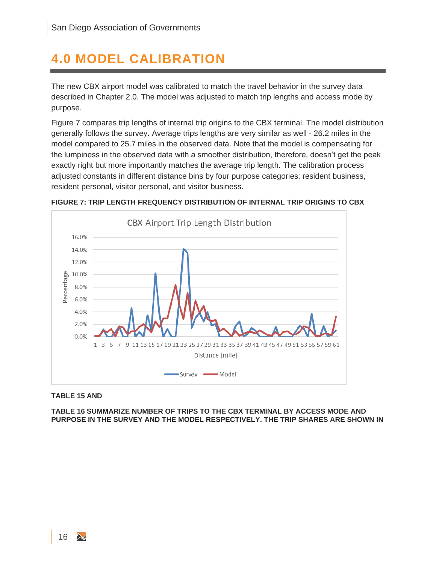# <span id="page-19-0"></span>**4.0 MODEL CALIBRATION**

The new CBX airport model was calibrated to match the travel behavior in the survey data described in Chapter [2.0.](#page-5-0) The model was adjusted to match trip lengths and access mode by purpose.

[Figure 7](#page-19-1) compares trip lengths of internal trip origins to the CBX terminal. The model distribution generally follows the survey. Average trips lengths are very similar as well - 26.2 miles in the model compared to 25.7 miles in the observed data. Note that the model is compensating for the lumpiness in the observed data with a smoother distribution, therefore, doesn't get the peak exactly right but more importantly matches the average trip length. The calibration process adjusted constants in different distance bins by four purpose categories: resident business, resident personal, visitor personal, and visitor business.



<span id="page-19-1"></span>**FIGURE 7: TRIP LENGTH FREQUENCY DISTRIBUTION OF INTERNAL TRIP ORIGINS TO CBX**

## **[TABLE 15](#page-20-0) AND**

**[TABLE 16](#page-20-2) SUMMARIZE NUMBER OF TRIPS TO THE CBX TERMINAL BY ACCESS MODE AND PURPOSE IN THE SURVEY AND THE MODEL RESPECTIVELY. THE TRIP SHARES ARE SHOWN IN**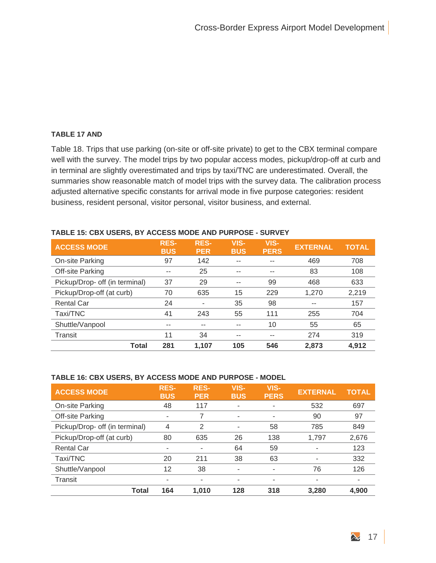## **[TABLE 17](#page-21-2) AND**

[Table 18.](#page-21-3) Trips that use parking (on-site or off-site private) to get to the CBX terminal compare well with the survey. The model trips by two popular access modes, pickup/drop-off at curb and in terminal are slightly overestimated and trips by taxi/TNC are underestimated. Overall, the summaries show reasonable match of model trips with the survey data. The calibration process adjusted alternative specific constants for arrival mode in five purpose categories: resident business, resident personal, visitor personal, visitor business, and external.

| <b>ACCESS MODE</b>             | <b>RES-</b><br><b>BUS</b> | <b>RES-</b><br><b>PER</b> | VIS-<br><b>BUS</b> | VIS-<br><b>PERS</b> | <b>EXTERNAL</b> | <b>TOTAL</b> |
|--------------------------------|---------------------------|---------------------------|--------------------|---------------------|-----------------|--------------|
| On-site Parking                | 97                        | 142                       | --                 |                     | 469             | 708          |
| Off-site Parking               | --                        | 25                        | --                 | --                  | 83              | 108          |
| Pickup/Drop- off (in terminal) | 37                        | 29                        | --                 | 99                  | 468             | 633          |
| Pickup/Drop-off (at curb)      | 70                        | 635                       | 15                 | 229                 | 1,270           | 2,219        |
| <b>Rental Car</b>              | 24                        |                           | 35                 | 98                  | $ -$            | 157          |
| Taxi/TNC                       | 41                        | 243                       | 55                 | 111                 | 255             | 704          |
| Shuttle/Vanpool                | --                        |                           |                    | 10                  | 55              | 65           |
| Transit                        | 11                        | 34                        | --                 |                     | 274             | 319          |
| <b>Total</b>                   | 281                       | 1,107                     | 105                | 546                 | 2,873           | 4,912        |

#### <span id="page-20-0"></span>**TABLE 15: CBX USERS, BY ACCESS MODE AND PURPOSE - SURVEY**

#### <span id="page-20-2"></span><span id="page-20-1"></span>**TABLE 16: CBX USERS, BY ACCESS MODE AND PURPOSE - MODEL**

| <b>ACCESS MODE</b>             | <b>RES-</b><br><b>BUS</b> | <b>RES-</b><br><b>PER</b> | VIS-<br><b>BUS</b> | VIS-<br><b>PERS</b> | <b>EXTERNAL</b> | <b>TOTAL</b> |
|--------------------------------|---------------------------|---------------------------|--------------------|---------------------|-----------------|--------------|
| On-site Parking                | 48                        | 117                       | -                  |                     | 532             | 697          |
| Off-site Parking               | ۰                         |                           | ۰                  | ۰                   | 90              | 97           |
| Pickup/Drop- off (in terminal) | 4                         | 2                         | ۰                  | 58                  | 785             | 849          |
| Pickup/Drop-off (at curb)      | 80                        | 635                       | 26                 | 138                 | 1,797           | 2,676        |
| <b>Rental Car</b>              | -                         |                           | 64                 | 59                  |                 | 123          |
| Taxi/TNC                       | 20                        | 211                       | 38                 | 63                  | ۰               | 332          |
| Shuttle/Vanpool                | 12                        | 38                        | ۰                  | ٠                   | 76              | 126          |
| Transit                        | -                         |                           | ۰                  | ٠                   | ٠               |              |
| <b>Total</b>                   | 164                       | 1.010                     | 128                | 318                 | 3.280           | 4,900        |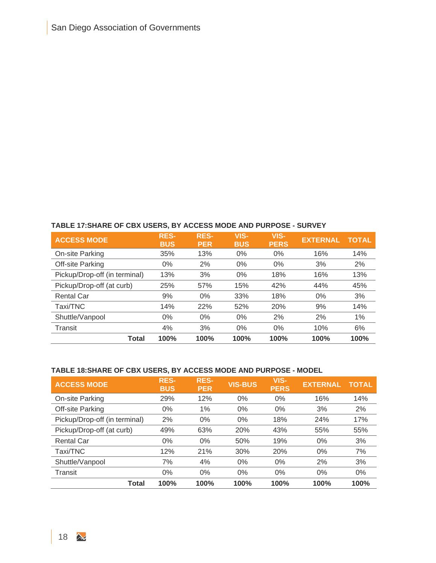#### <span id="page-21-2"></span><span id="page-21-0"></span>**TABLE 17:SHARE OF CBX USERS, BY ACCESS MODE AND PURPOSE - SURVEY**

| <b>ACCESS MODE</b>            | <b>RES-</b><br><b>BUS</b> | <b>RES-</b><br><b>PER</b> | VIS-<br><b>BUS</b> | VIS-<br><b>PERS</b> | <b>EXTERNAL</b> | <b>TOTAL</b> |
|-------------------------------|---------------------------|---------------------------|--------------------|---------------------|-----------------|--------------|
| On-site Parking               | 35%                       | 13%                       | $0\%$              | 0%                  | 16%             | 14%          |
| Off-site Parking              | $0\%$                     | 2%                        | 0%                 | 0%                  | 3%              | 2%           |
| Pickup/Drop-off (in terminal) | 13%                       | 3%                        | 0%                 | 18%                 | 16%             | 13%          |
| Pickup/Drop-off (at curb)     | 25%                       | 57%                       | 15%                | 42%                 | 44%             | 45%          |
| <b>Rental Car</b>             | 9%                        | $0\%$                     | 33%                | 18%                 | 0%              | 3%           |
| Taxi/TNC                      | 14%                       | 22%                       | 52%                | 20%                 | 9%              | 14%          |
| Shuttle/Vanpool               | 0%                        | $0\%$                     | 0%                 | 2%                  | 2%              | 1%           |
| Transit                       | 4%                        | 3%                        | 0%                 | 0%                  | 10%             | 6%           |
| <b>Total</b>                  | 100%                      | 100%                      | 100%               | 100%                | 100%            | 100%         |

#### <span id="page-21-3"></span><span id="page-21-1"></span>**TABLE 18:SHARE OF CBX USERS, BY ACCESS MODE AND PURPOSE - MODEL**

| <b>ACCESS MODE</b>            | <b>RES-</b><br><b>BUS</b> | <b>RES-</b><br><b>PER</b> | <b>VIS-BUS</b> | VIS-<br><b>PERS</b> | <b>EXTERNAL</b> | <b>TOTAL</b> |
|-------------------------------|---------------------------|---------------------------|----------------|---------------------|-----------------|--------------|
| On-site Parking               | 29%                       | 12%                       | 0%             | 0%                  | 16%             | 14%          |
| Off-site Parking              | $0\%$                     | 1%                        | 0%             | $0\%$               | 3%              | 2%           |
| Pickup/Drop-off (in terminal) | 2%                        | $0\%$                     | 0%             | 18%                 | 24%             | 17%          |
| Pickup/Drop-off (at curb)     | 49%                       | 63%                       | 20%            | 43%                 | 55%             | 55%          |
| <b>Rental Car</b>             | $0\%$                     | $0\%$                     | 50%            | 19%                 | $0\%$           | 3%           |
| Taxi/TNC                      | 12%                       | 21%                       | 30%            | 20%                 | 0%              | 7%           |
| Shuttle/Vanpool               | 7%                        | 4%                        | 0%             | $0\%$               | 2%              | 3%           |
| Transit                       | 0%                        | $0\%$                     | 0%             | 0%                  | $0\%$           | $0\%$        |
| Total                         | 100%                      | 100%                      | 100%           | 100%                | 100%            | 100%         |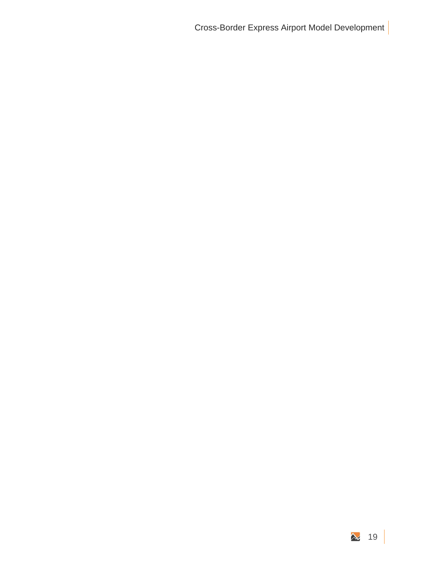